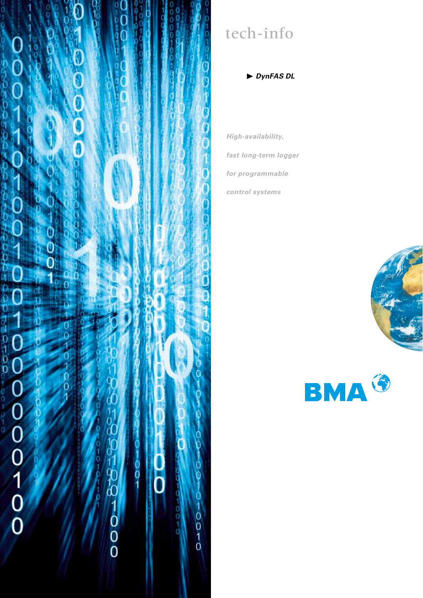

# tech-info

*DynFAS DL*

*High-availability, fast long-term logger for programmable control systems*



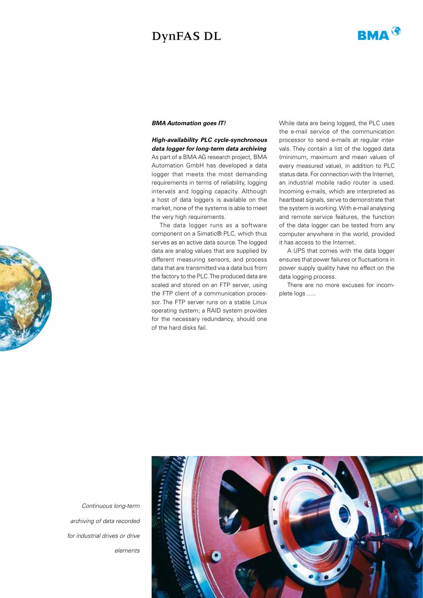# DynFAS DL



## *BMA Automation goes IT!*

*High-availability PLC cycle-synchronous data logger for long-term data archiving* As part of a BMA AG research project, BMA Automation GmbH has developed a data logger that meets the most demanding requirements in terms of reliability, logging intervals and logging capacity. Although a host of data loggers is available on the market, none of the systems is able to meet the very high requirements.

The data logger runs as a software component on a Simatic® PLC, which thus serves as an active data source. The logged data are analog values that are supplied by different measuring sensors, and process data that are transmitted via a data bus from the factory to the PLC. The produced data are scaled and stored on an FTP server, using the FTP client of a communication processor. The FTP server runs on a stable Linux operating system; a RAID system provides for the necessary redundancy, should one of the hard disks fail.

While data are being logged, the PLC uses the e-mail service of the communication processor to send e-mails at regular intervals. They contain a list of the logged data (minimum, maximum and mean values of every measured value), in addition to PLC status data. For connection with the Internet, an industrial mobile radio router is used. Incoming e-mails, which are interpreted as heartbeat signals, serve to demonstrate that the system is working. With e-mail analysing and remote service features, the function of the data logger can be tested from any computer anywhere in the world, provided it has access to the Internet.

A UPS that comes with the data logger ensures that power failures or fluctuations in power supply quality have no effect on the data logging process.

There are no more excuses for incomplete logs .....

*Continuous long-term archiving of data recorded for industrial drives or drive elements*



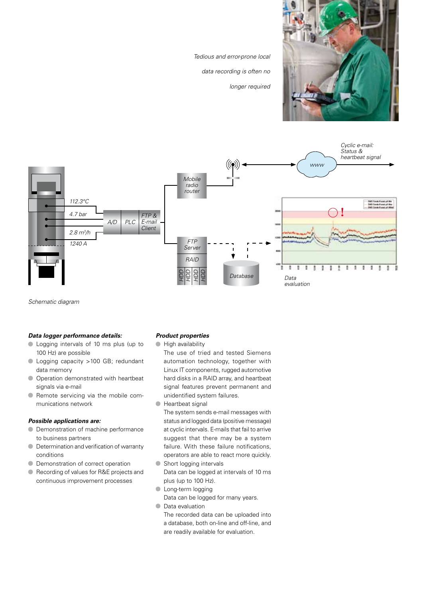

*Tedious and error-prone local* 

*data recording is often no* 

*longer required*



*Schematic diagram*

#### *Data logger performance details:*

- Logging intervals of 10 ms plus (up to 100 Hz) are possible
- Logging capacity >100 GB; redundant data memory
- $\bullet$  Operation demonstrated with heartbeat signals via e-mail
- **Remote servicing via the mobile com**munications network

#### *Possible applications are:*

- **O** Demonstration of machine performance to business partners
- $\bullet$ Determination and verification of warranty conditions
- **O** Demonstration of correct operation
- Recording of values for R&E projects and continuous improvement processes

## *Product properties*

- **High availability** 
	- The use of tried and tested Siemens automation technology, together with Linux IT components, rugged automotive hard disks in a RAID array, and heartbeat signal features prevent permanent and unidentified system failures.
- **Heartbeat signal**

The system sends e-mail messages with status and logged data (positive message) at cyclic intervals. E-mails that fail to arrive suggest that there may be a system failure. With these failure notifications, operators are able to react more quickly.

- $\bullet$ Short logging intervals Data can be logged at intervals of 10 ms plus (up to 100 Hz).
- **C** Long-term logging
- Data can be logged for many years.
- Data evaluation

The recorded data can be uploaded into a database, both on-line and off-line, and are readily available for evaluation.